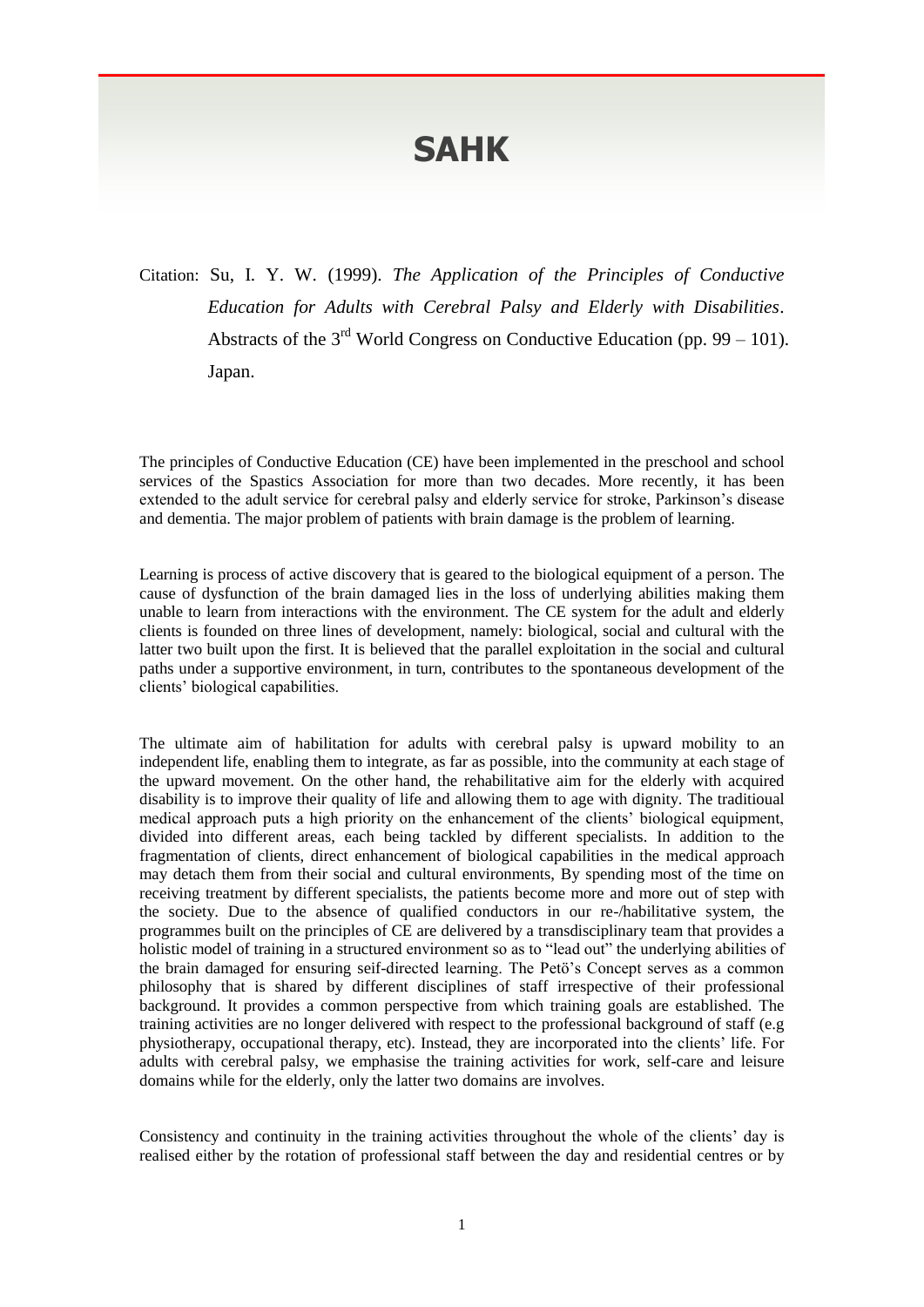## **SAHK**

Citation: Su, I. Y. W. (1999). *The Application of the Principles of Conductive Education for Adults with Cerebral Palsy and Elderly with Disabilities*. Abstracts of the  $3<sup>rd</sup>$  World Congress on Conductive Education (pp. 99 – 101). Japan.

The principles of Conductive Education (CE) have been implemented in the preschool and school services of the Spastics Association for more than two decades. More recently, it has been extended to the adult service for cerebral palsy and elderly service for stroke, Parkinson's disease and dementia. The major problem of patients with brain damage is the problem of learning.

Learning is process of active discovery that is geared to the biological equipment of a person. The cause of dysfunction of the brain damaged lies in the loss of underlying abilities making them unable to learn from interactions with the environment. The CE system for the adult and elderly clients is founded on three lines of development, namely: biological, social and cultural with the latter two built upon the first. It is believed that the parallel exploitation in the social and cultural paths under a supportive environment, in turn, contributes to the spontaneous development of the clients' biological capabilities.

The ultimate aim of habilitation for adults with cerebral palsy is upward mobility to an independent life, enabling them to integrate, as far as possible, into the community at each stage of the upward movement. On the other hand, the rehabilitative aim for the elderly with acquired disability is to improve their quality of life and allowing them to age with dignity. The traditioual medical approach puts a high priority on the enhancement of the clients' biological equipment, divided into different areas, each being tackled by different specialists. In addition to the fragmentation of clients, direct enhancement of biological capabilities in the medical approach may detach them from their social and cultural environments, By spending most of the time on receiving treatment by different specialists, the patients become more and more out of step with the society. Due to the absence of qualified conductors in our re-/habilitative system, the programmes built on the principles of CE are delivered by a transdisciplinary team that provides a holistic model of training in a structured environment so as to "lead out" the underlying abilities of the brain damaged for ensuring seif-directed learning. The Petö's Concept serves as a common philosophy that is shared by different disciplines of staff irrespective of their professional background. It provides a common perspective from which training goals are established. The training activities are no longer delivered with respect to the professional background of staff (e.g physiotherapy, occupational therapy, etc). Instead, they are incorporated into the clients' life. For adults with cerebral palsy, we emphasise the training activities for work, self-care and leisure domains while for the elderly, only the latter two domains are involves.

Consistency and continuity in the training activities throughout the whole of the clients' day is realised either by the rotation of professional staff between the day and residential centres or by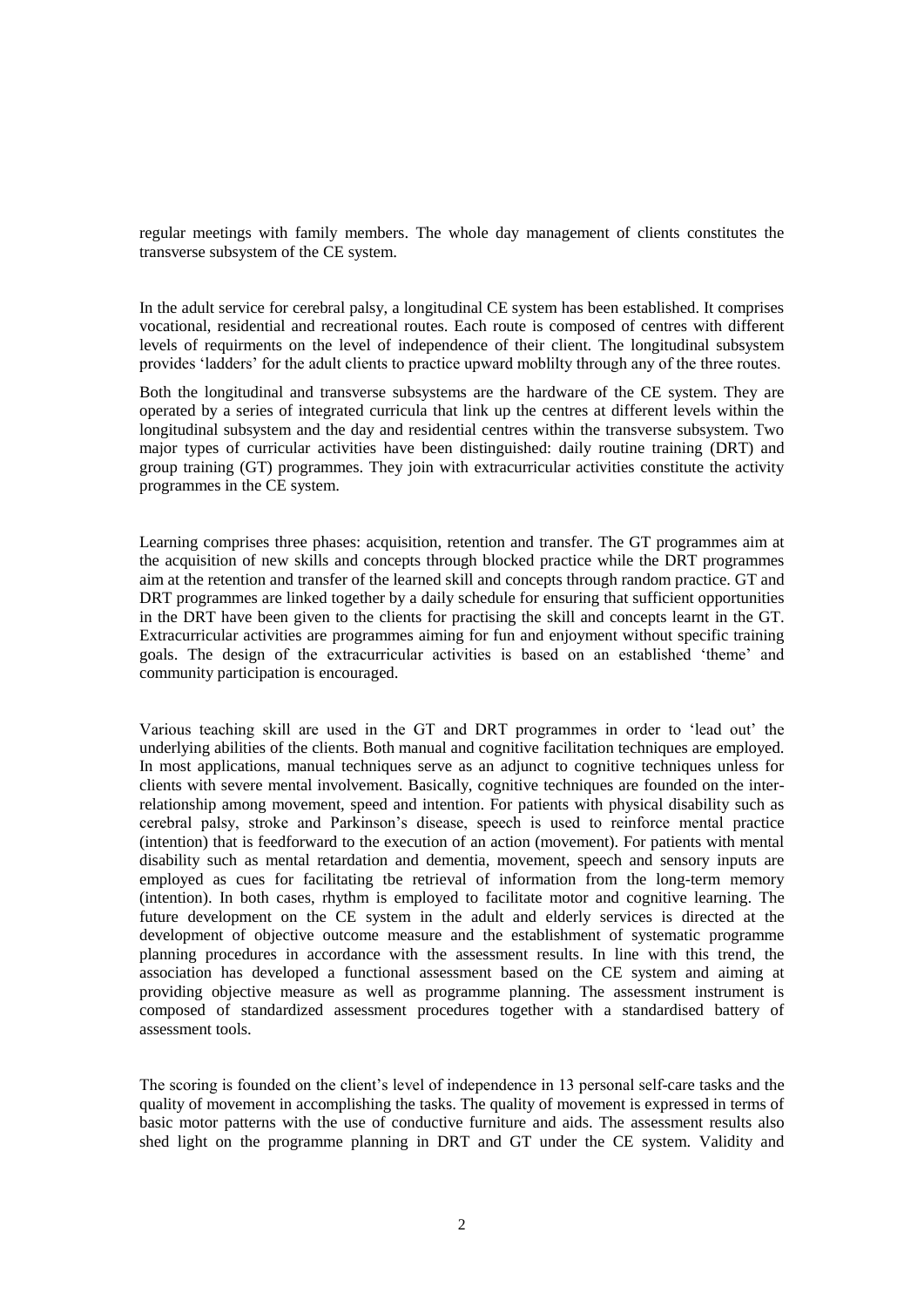regular meetings with family members. The whole day management of clients constitutes the transverse subsystem of the CE system.

In the adult service for cerebral palsy, a longitudinal CE system has been established. It comprises vocational, residential and recreational routes. Each route is composed of centres with different levels of requirments on the level of independence of their client. The longitudinal subsystem provides 'ladders' for the adult clients to practice upward moblilty through any of the three routes.

Both the longitudinal and transverse subsystems are the hardware of the CE system. They are operated by a series of integrated curricula that link up the centres at different levels within the longitudinal subsystem and the day and residential centres within the transverse subsystem. Two major types of curricular activities have been distinguished: daily routine training (DRT) and group training (GT) programmes. They join with extracurricular activities constitute the activity programmes in the CE system.

Learning comprises three phases: acquisition, retention and transfer. The GT programmes aim at the acquisition of new skills and concepts through blocked practice while the DRT programmes aim at the retention and transfer of the learned skill and concepts through random practice. GT and DRT programmes are linked together by a daily schedule for ensuring that sufficient opportunities in the DRT have been given to the clients for practising the skill and concepts learnt in the GT. Extracurricular activities are programmes aiming for fun and enjoyment without specific training goals. The design of the extracurricular activities is based on an established 'theme' and community participation is encouraged.

Various teaching skill are used in the GT and DRT programmes in order to 'lead out' the underlying abilities of the clients. Both manual and cognitive facilitation techniques are employed. In most applications, manual techniques serve as an adjunct to cognitive techniques unless for clients with severe mental involvement. Basically, cognitive techniques are founded on the interrelationship among movement, speed and intention. For patients with physical disability such as cerebral palsy, stroke and Parkinson's disease, speech is used to reinforce mental practice (intention) that is feedforward to the execution of an action (movement). For patients with mental disability such as mental retardation and dementia, movement, speech and sensory inputs are employed as cues for facilitating tbe retrieval of information from the long-term memory (intention). In both cases, rhythm is employed to facilitate motor and cognitive learning. The future development on the CE system in the adult and elderly services is directed at the development of objective outcome measure and the establishment of systematic programme planning procedures in accordance with the assessment results. In line with this trend, the association has developed a functional assessment based on the CE system and aiming at providing objective measure as well as programme planning. The assessment instrument is composed of standardized assessment procedures together with a standardised battery of assessment tools.

The scoring is founded on the client's level of independence in 13 personal self-care tasks and the quality of movement in accomplishing the tasks. The quality of movement is expressed in terms of basic motor patterns with the use of conductive furniture and aids. The assessment results also shed light on the programme planning in DRT and GT under the CE system. Validity and